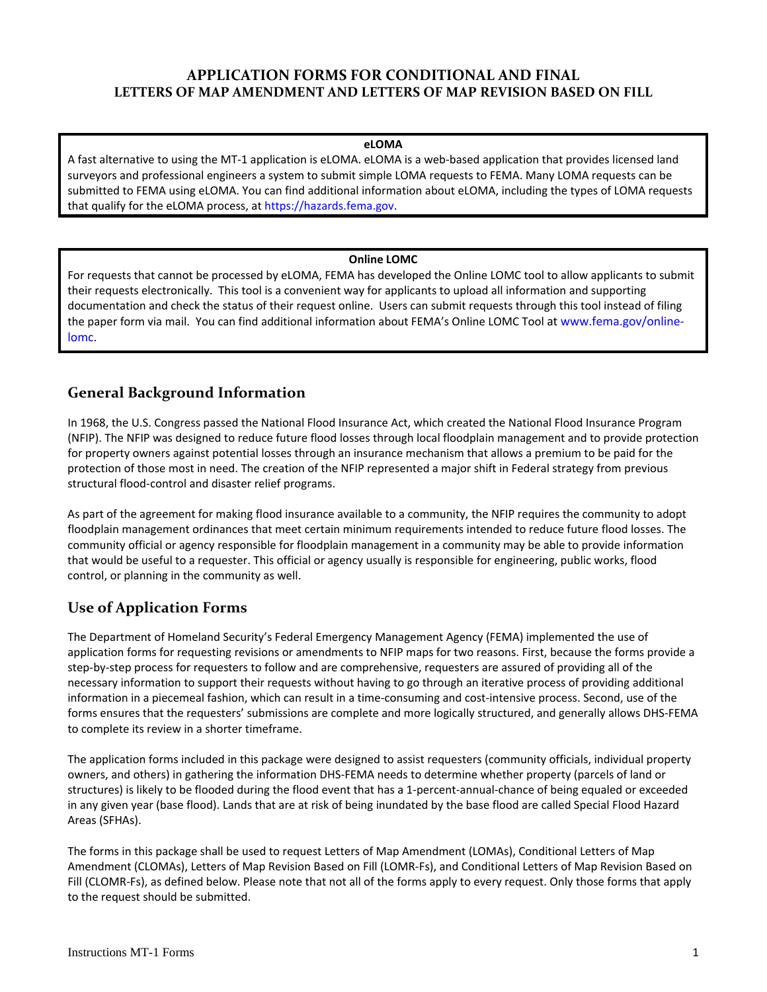## **APPLICATION FORMS FOR CONDITIONAL AND FINAL LETTERS OF MAP AMENDMENT AND LETTERS OF MAP REVISION BASED ON FILL**

#### **eLOMA**

 A fast alternative to using the MT‐1 application is eLOMA. eLOMA is a web‐based application that provides licensed land surveyors and professional engineers a system to submit simple LOMA requests to FEMA. Many LOMA requests can be submitted to FEMA using eLOMA. You can find additional information about eLOMA, including the types of LOMA requests that qualify for the eLOMA process, at https://hazards.fema.gov.

#### **Online LOMC**

 For requests that cannot be processed by eLOMA, FEMA has developed the Online LOMC tool to allow applicants to submit their requests electronically. This tool is a convenient way for applicants to upload all information and supporting documentation and check the status of their request online. Users can submit requests through this tool instead of filing the paper form via mail. You can find additional information about FEMA's Online LOMC Tool at www.fema.gov/online‐ lomc.

## **General Background Information**

 In 1968, the U.S. Congress passed the National Flood Insurance Act, which created the National Flood Insurance Program (NFIP). The NFIP was designed to reduce future flood losses through local floodplain management and to provide protection for property owners against potential losses through an insurance mechanism that allows a premium to be paid for the protection of those most in need. The creation of the NFIP represented a major shift in Federal strategy from previous structural flood‐control and disaster relief programs.

 As part of the agreement for making flood insurance available to a community, the NFIP requires the community to adopt floodplain management ordinances that meet certain minimum requirements intended to reduce future flood losses. The community official or agency responsible for floodplain management in a community may be able to provide information that would be useful to a requester. This official or agency usually is responsible for engineering, public works, flood control, or planning in the community as well.

# **Use of Application Forms**

 The Department of Homeland Security's Federal Emergency Management Agency (FEMA) implemented the use of application forms for requesting revisions or amendments to NFIP maps for two reasons. First, because the forms provide a step‐by‐step process for requesters to follow and are comprehensive, requesters are assured of providing all of the necessary information to support their requests without having to go through an iterative process of providing additional information in a piecemeal fashion, which can result in a time‐consuming and cost‐intensive process. Second, use of the forms ensures that the requesters' submissions are complete and more logically structured, and generally allows DHS‐FEMA to complete its review in a shorter timeframe.

 The application forms included in this package were designed to assist requesters (community officials, individual property owners, and others) in gathering the information DHS‐FEMA needs to determine whether property (parcels of land or structures) is likely to be flooded during the flood event that has a 1‐percent‐annual‐chance of being equaled or exceeded in any given year (base flood). Lands that are at risk of being inundated by the base flood are called Special Flood Hazard Areas (SFHAs).

 The forms in this package shall be used to request Letters of Map Amendment (LOMAs), Conditional Letters of Map Amendment (CLOMAs), Letters of Map Revision Based on Fill (LOMR‐Fs), and Conditional Letters of Map Revision Based on Fill (CLOMR‐Fs), as defined below. Please note that not all of the forms apply to every request. Only those forms that apply to the request should be submitted.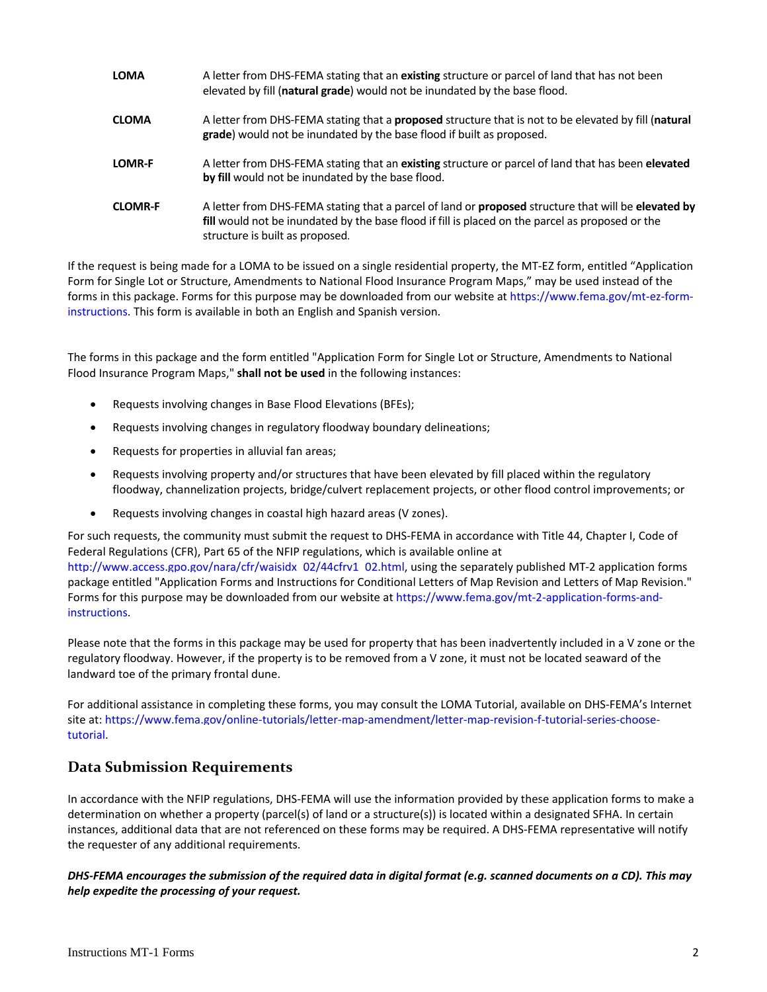**LOMA** A letter from DHS‐FEMA stating that an **existing** structure or parcel of land that has not been elevated by fill (**natural grade**) would not be inundated by the base flood. **CLOMA** A letter from DHS‐FEMA stating that a **proposed** structure that is not to be elevated by fill (**natural grade**) would not be inundated by the base flood if built as proposed. **LOMR‐F** A letter from DHS‐FEMA stating that an **existing** structure or parcel of land that has been **elevated by fill** would not be inundated by the base flood.  **CLOMR‐F** A letter from DHS‐FEMA stating that a parcel of land or **proposed** structure that will be **elevated by fill** would not be inundated by the base flood if fill is placed on the parcel as proposed or the structure is built as proposed.

 If the request is being made for a LOMA to be issued on a single residential property, the MT‐EZ form, entitled "Application Form for Single Lot or Structure, Amendments to National Flood Insurance Program Maps," may be used instead of the forms in this package. Forms for this purpose may be downloaded from our website at https://www.fema.gov/mt‐ez‐form‐ instructions. This form is available in both an English and Spanish version.

 The forms in this package and the form entitled "Application Form for Single Lot or Structure, Amendments to National  Flood Insurance Program Maps," **shall not be used** in the following instances:

- Requests involving changes in Base Flood Elevations (BFEs);
- Requests involving changes in regulatory floodway boundary delineations;
- Requests for properties in alluvial fan areas;
- Requests involving property and/or structures that have been elevated by fill placed within the regulatory floodway, channelization projects, bridge/culvert replacement projects, or other flood control improvements; or
- Requests involving changes in coastal high hazard areas (V zones).

 For such requests, the community must submit the request to DHS‐FEMA in accordance with Title 44, Chapter I, Code of Federal Regulations (CFR), Part 65 of the NFIP regulations, which is available online at

 http://www.access.gpo.gov/nara/cfr/waisidx\_02/44cfrv1\_02.html, using the separately published MT‐2 application forms package entitled "Application Forms and Instructions for Conditional Letters of Map Revision and Letters of Map Revision." Forms for this purpose may be downloaded from our website at https://www.fema.gov/mt‐2‐application‐forms‐and‐ instructions.

 Please note that the forms in this package may be used for property that has been inadvertently included in a V zone or the regulatory floodway. However, if the property is to be removed from a V zone, it must not be located seaward of the landward toe of the primary frontal dune.

 For additional assistance in completing these forms, you may consult the LOMA Tutorial, available on DHS‐FEMA's Internet site at: https://www.fema.gov/online‐tutorials/letter‐map‐amendment/letter‐map‐revision‐f‐tutorial‐series‐choose‐ tutorial.

## **Data Submission Requirements**

 In accordance with the NFIP regulations, DHS‐FEMA will use the information provided by these application forms to make a determination on whether a property (parcel(s) of land or a structure(s)) is located within a designated SFHA. In certain instances, additional data that are not referenced on these forms may be required. A DHS‐FEMA representative will notify the requester of any additional requirements.

DHS-FEMA encourages the submission of the required data in digital format (e.g. scanned documents on a CD). This may  *help expedite the processing of your request.*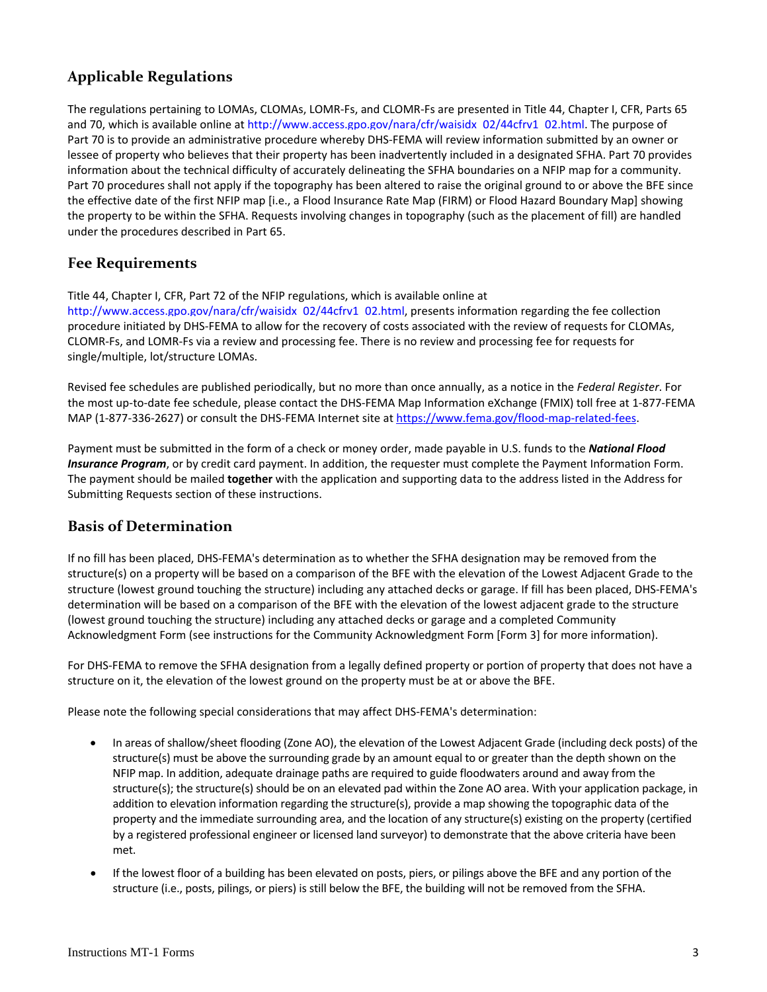# **Applicable Regulations**

 The regulations pertaining to LOMAs, CLOMAs, LOMR‐Fs, and CLOMR‐Fs are presented in Title 44, Chapter I, CFR, Parts 65 and 70, which is available online at http://www.access.gpo.gov/nara/cfr/waisidx\_02/44cfrv1\_02.html. The purpose of Part 70 is to provide an administrative procedure whereby DHS‐FEMA will review information submitted by an owner or lessee of property who believes that their property has been inadvertently included in a designated SFHA. Part 70 provides information about the technical difficulty of accurately delineating the SFHA boundaries on a NFIP map for a community. Part 70 procedures shall not apply if the topography has been altered to raise the original ground to or above the BFE since the effective date of the first NFIP map [i.e., a Flood Insurance Rate Map (FIRM) or Flood Hazard Boundary Map] showing the property to be within the SFHA. Requests involving changes in topography (such as the placement of fill) are handled under the procedures described in Part 65.

## **Fee Requirements**

Title 44, Chapter I, CFR, Part 72 of the NFIP regulations, which is available online at

 http://www.access.gpo.gov/nara/cfr/waisidx\_02/44cfrv1\_02.html, presents information regarding the fee collection procedure initiated by DHS‐FEMA to allow for the recovery of costs associated with the review of requests for CLOMAs, CLOMR‐Fs, and LOMR‐Fs via a review and processing fee. There is no review and processing fee for requests for single/multiple, lot/structure LOMAs.

 Revised fee schedules are published periodically, but no more than once annually, as a notice in the *Federal Register*. For the most up‐to‐date fee schedule, please contact the DHS‐FEMA Map Information eXchange (FMIX) toll free at 1‐877‐FEMA MAP (1-877-336-2627) or consult the DHS-FEMA Internet site at https://www.fema.gov/flood-map-related-fees.

  Payment must be submitted in the form of a check or money order, made payable in U.S. funds to the *National Flood Insurance Program*, or by credit card payment. In addition, the requester must complete the Payment Information Form. The payment should be mailed **together** with the application and supporting data to the address listed in the Address for Submitting Requests section of these instructions.

## **Basis of Determination**

 If no fill has been placed, DHS‐FEMA's determination as to whether the SFHA designation may be removed from the structure(s) on a property will be based on a comparison of the BFE with the elevation of the Lowest Adjacent Grade to the structure (lowest ground touching the structure) including any attached decks or garage. If fill has been placed, DHS‐FEMA's determination will be based on a comparison of the BFE with the elevation of the lowest adjacent grade to the structure (lowest ground touching the structure) including any attached decks or garage and a completed Community Acknowledgment Form (see instructions for the Community Acknowledgment Form [Form 3] for more information).

 For DHS‐FEMA to remove the SFHA designation from a legally defined property or portion of property that does not have a structure on it, the elevation of the lowest ground on the property must be at or above the BFE.

Please note the following special considerations that may affect DHS‐FEMA's determination:

- In areas of shallow/sheet flooding (Zone AO), the elevation of the Lowest Adjacent Grade (including deck posts) of the structure(s) must be above the surrounding grade by an amount equal to or greater than the depth shown on the NFIP map. In addition, adequate drainage paths are required to guide floodwaters around and away from the structure(s); the structure(s) should be on an elevated pad within the Zone AO area. With your application package, in addition to elevation information regarding the structure(s), provide a map showing the topographic data of the property and the immediate surrounding area, and the location of any structure(s) existing on the property (certified by a registered professional engineer or licensed land surveyor) to demonstrate that the above criteria have been met.
- If the lowest floor of a building has been elevated on posts, piers, or pilings above the BFE and any portion of the structure (i.e., posts, pilings, or piers) is still below the BFE, the building will not be removed from the SFHA.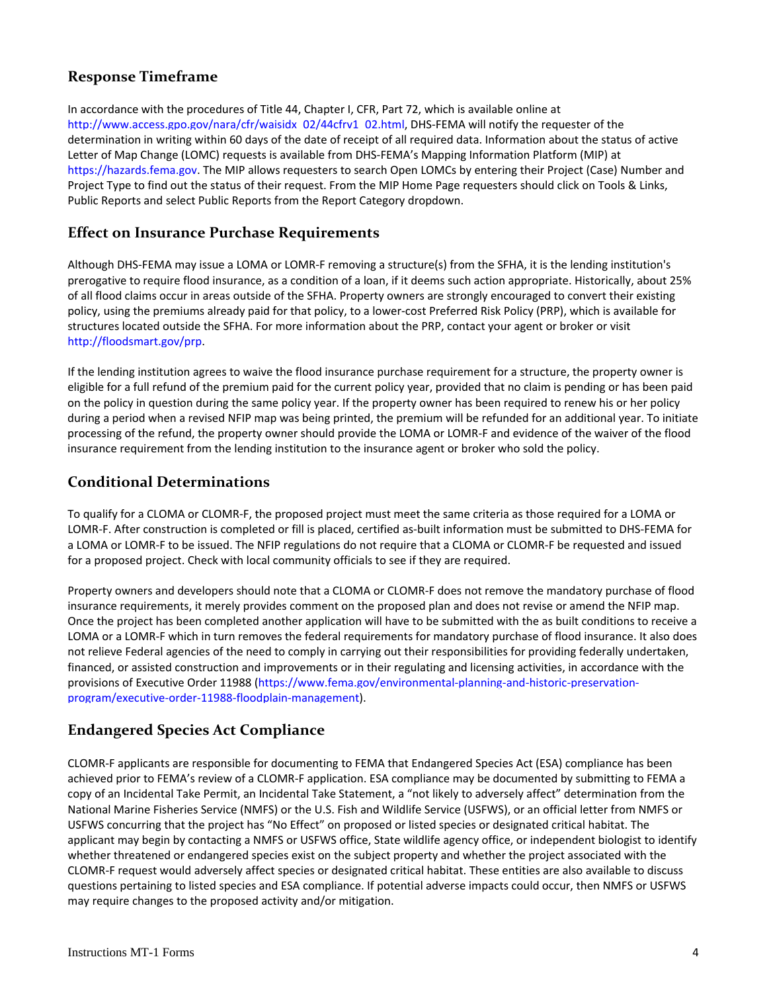# **Response Timeframe**

 In accordance with the procedures of Title 44, Chapter I, CFR, Part 72, which is available online at http://www.access.gpo.gov/nara/cfr/waisidx\_02/44cfrv1\_02.html, DHS‐FEMA will notify the requester of the determination in writing within 60 days of the date of receipt of all required data. Information about the status of active Letter of Map Change (LOMC) requests is available from DHS‐FEMA's Mapping Information Platform (MIP) at https://hazards.fema.gov. The MIP allows requesters to search Open LOMCs by entering their Project (Case) Number and Project Type to find out the status of their request. From the MIP Home Page requesters should click on Tools & Links, Public Reports and select Public Reports from the Report Category dropdown.

# **Effect on Insurance Purchase Requirements**

 Although DHS‐FEMA may issue a LOMA or LOMR‐F removing a structure(s) from the SFHA, it is the lending institution's prerogative to require flood insurance, as a condition of a loan, if it deems such action appropriate. Historically, about 25% of all flood claims occur in areas outside of the SFHA. Property owners are strongly encouraged to convert their existing policy, using the premiums already paid for that policy, to a lower‐cost Preferred Risk Policy (PRP), which is available for structures located outside the SFHA. For more information about the PRP, contact your agent or broker or visit http://floodsmart.gov/prp.

 If the lending institution agrees to waive the flood insurance purchase requirement for a structure, the property owner is eligible for a full refund of the premium paid for the current policy year, provided that no claim is pending or has been paid on the policy in question during the same policy year. If the property owner has been required to renew his or her policy during a period when a revised NFIP map was being printed, the premium will be refunded for an additional year. To initiate processing of the refund, the property owner should provide the LOMA or LOMR‐F and evidence of the waiver of the flood insurance requirement from the lending institution to the insurance agent or broker who sold the policy.

## **Conditional Determinations**

 To qualify for a CLOMA or CLOMR‐F, the proposed project must meet the same criteria as those required for a LOMA or LOMR‐F. After construction is completed or fill is placed, certified as‐built information must be submitted to DHS‐FEMA for a LOMA or LOMR‐F to be issued. The NFIP regulations do not require that a CLOMA or CLOMR‐F be requested and issued for a proposed project. Check with local community officials to see if they are required.

 Property owners and developers should note that a CLOMA or CLOMR‐F does not remove the mandatory purchase of flood insurance requirements, it merely provides comment on the proposed plan and does not revise or amend the NFIP map. Once the project has been completed another application will have to be submitted with the as built conditions to receive a LOMA or a LOMR‐F which in turn removes the federal requirements for mandatory purchase of flood insurance. It also does not relieve Federal agencies of the need to comply in carrying out their responsibilities for providing federally undertaken, financed, or assisted construction and improvements or in their regulating and licensing activities, in accordance with the provisions of Executive Order 11988 (https://www.fema.gov/environmental‐planning‐and‐historic‐preservation‐ program/executive‐order‐11988‐floodplain‐management).

# **Endangered Species Act Compliance**

 CLOMR‐F applicants are responsible for documenting to FEMA that Endangered Species Act (ESA) compliance has been achieved prior to FEMA's review of a CLOMR‐F application. ESA compliance may be documented by submitting to FEMA a copy of an Incidental Take Permit, an Incidental Take Statement, a "not likely to adversely affect" determination from the National Marine Fisheries Service (NMFS) or the U.S. Fish and Wildlife Service (USFWS), or an official letter from NMFS or USFWS concurring that the project has "No Effect" on proposed or listed species or designated critical habitat. The applicant may begin by contacting a NMFS or USFWS office, State wildlife agency office, or independent biologist to identify whether threatened or endangered species exist on the subject property and whether the project associated with the CLOMR‐F request would adversely affect species or designated critical habitat. These entities are also available to discuss questions pertaining to listed species and ESA compliance. If potential adverse impacts could occur, then NMFS or USFWS may require changes to the proposed activity and/or mitigation.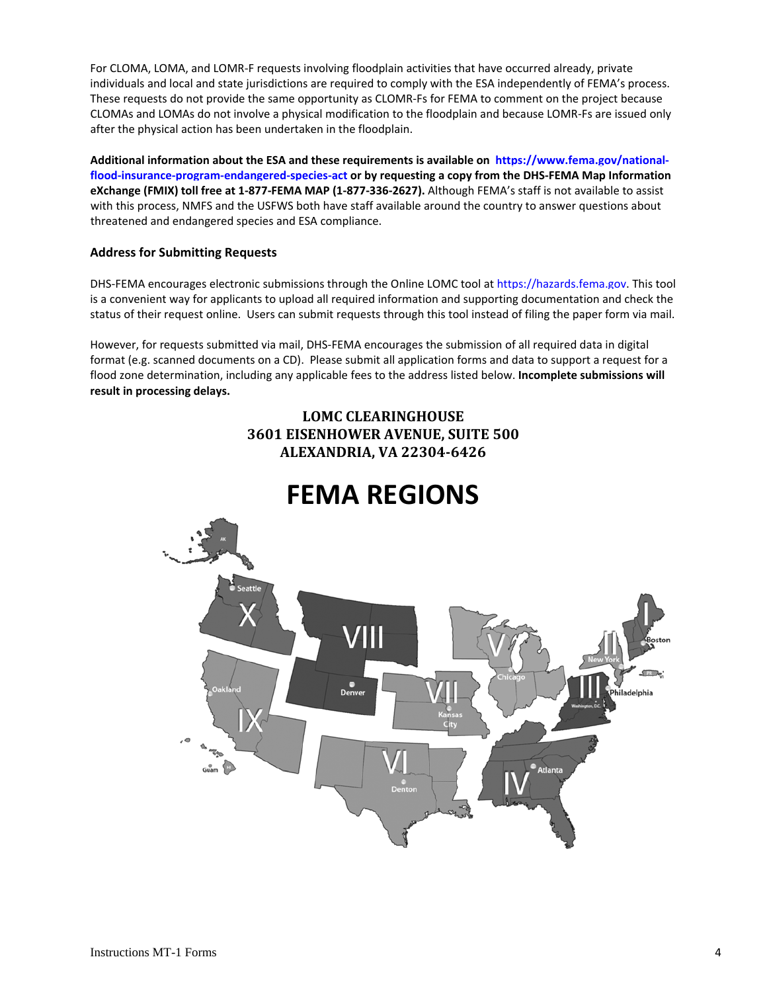For CLOMA, LOMA, and LOMR‐F requests involving floodplain activities that have occurred already, private individuals and local and state jurisdictions are required to comply with the ESA independently of FEMA's process. These requests do not provide the same opportunity as CLOMR‐Fs for FEMA to comment on the project because CLOMAs and LOMAs do not involve a physical modification to the floodplain and because LOMR‐Fs are issued only after the physical action has been undertaken in the floodplain.

-Additional information about the ESA and these requirements is available on https://www.fema.gov/national flood-insurance-program-endangered-species-act or by requesting a copy from the DHS-FEMA Map Information eXchange (FMIX) toll free at 1-877-FEMA MAP (1-877-336-2627). Although FEMA's staff is not available to assist with this process, NMFS and the USFWS both have staff available around the country to answer questions about threatened and endangered species and ESA compliance.

#### **Address for Submitting Requests**

DHS-FEMA encourages electronic submissions through the Online LOMC tool at https://hazards.fema.gov. This tool is a convenient way for applicants to upload all required information and supporting documentation and check the status of their request online. Users can submit requests through this tool instead of filing the paper form via mail.

 However, for requests submitted via mail, DHS‐FEMA encourages the submission of all required data in digital format (e.g. scanned documents on a CD). Please submit all application forms and data to support a request for a  flood zone determination, including any applicable fees to the address listed below. **Incomplete submissions will result in processing delays.**

# **3601 EISENHOWER AVENUE, SUITE 500 ALEXANDRIA, VA 22304‐6426 LOMC CLEARINGHOUSE**

# **FEMA REGIONS**

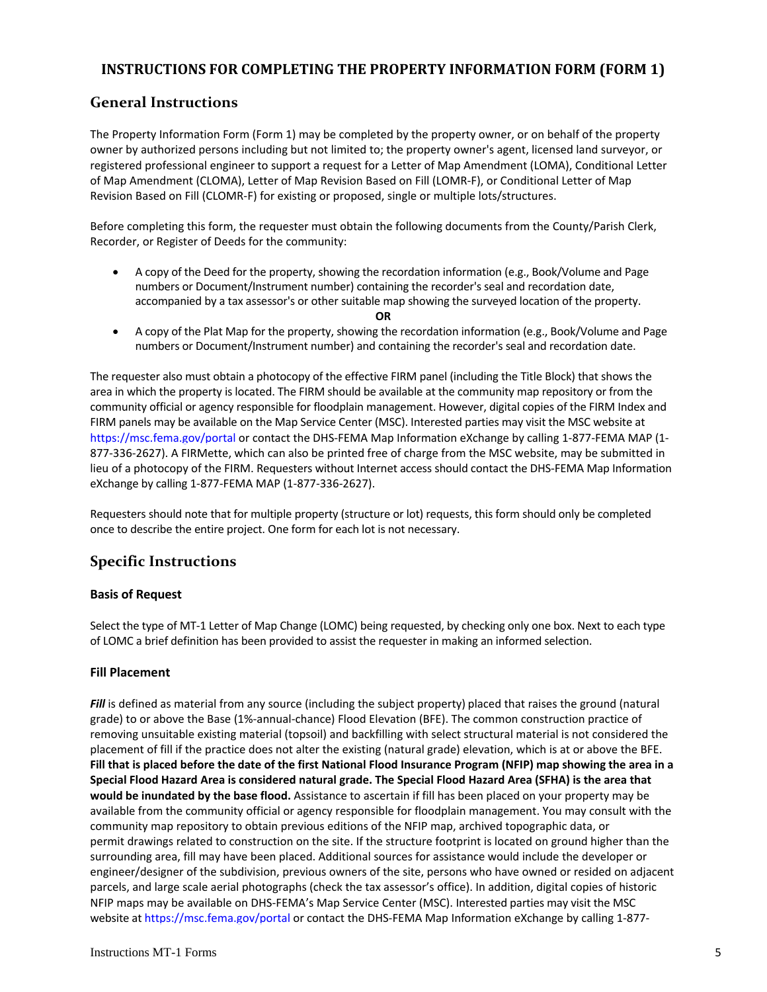## **INSTRUCTIONS FOR COMPLETING THE PROPERTY INFORMATION FORM (FORM 1)**

## **General Instructions**

 The Property Information Form (Form 1) may be completed by the property owner, or on behalf of the property owner by authorized persons including but not limited to; the property owner's agent, licensed land surveyor, or registered professional engineer to support a request for a Letter of Map Amendment (LOMA), Conditional Letter of Map Amendment (CLOMA), Letter of Map Revision Based on Fill (LOMR‐F), or Conditional Letter of Map Revision Based on Fill (CLOMR‐F) for existing or proposed, single or multiple lots/structures.

 Before completing this form, the requester must obtain the following documents from the County/Parish Clerk, Recorder, or Register of Deeds for the community:

- A copy of the Deed for the property, showing the recordation information (e.g., Book/Volume and Page numbers or Document/Instrument number) containing the recorder's seal and recordation date, accompanied by a tax assessor's or other suitable map showing the surveyed location of the property.
	- **OR**
- A copy of the Plat Map for the property, showing the recordation information (e.g., Book/Volume and Page numbers or Document/Instrument number) and containing the recorder's seal and recordation date.

 The requester also must obtain a photocopy of the effective FIRM panel (including the Title Block) that shows the area in which the property is located. The FIRM should be available at the community map repository or from the community official or agency responsible for floodplain management. However, digital copies of the FIRM Index and FIRM panels may be available on the Map Service Center (MSC). Interested parties may visit the MSC website at https://msc.fema.gov/portal or contact the DHS‐FEMA Map Information eXchange by calling 1‐877‐FEMA MAP (1‐ 877‐336‐2627). A FIRMette, which can also be printed free of charge from the MSC website, may be submitted in lieu of a photocopy of the FIRM. Requesters without Internet access should contact the DHS‐FEMA Map Information eXchange by calling 1‐877‐FEMA MAP (1‐877‐336‐2627).

 Requesters should note that for multiple property (structure or lot) requests, this form should only be completed once to describe the entire project. One form for each lot is not necessary.

# **Specific Instructions**

## **Basis of Request**

 Select the type of MT‐1 Letter of Map Change (LOMC) being requested, by checking only one box. Next to each type of LOMC a brief definition has been provided to assist the requester in making an informed selection.

#### **Fill Placement**

 *Fill* is defined as material from any source (including the subject property) placed that raises the ground (natural grade) to or above the Base (1%‐annual‐chance) Flood Elevation (BFE). The common construction practice of removing unsuitable existing material (topsoil) and backfilling with select structural material is not considered the placement of fill if the practice does not alter the existing (natural grade) elevation, which is at or above the BFE. Fill that is placed before the date of the first National Flood Insurance Program (NFIP) map showing the area in a Special Flood Hazard Area is considered natural grade. The Special Flood Hazard Area (SFHA) is the area that  **would be inundated by the base flood.** Assistance to ascertain if fill has been placed on your property may be available from the community official or agency responsible for floodplain management. You may consult with the community map repository to obtain previous editions of the NFIP map, archived topographic data, or permit drawings related to construction on the site. If the structure footprint is located on ground higher than the surrounding area, fill may have been placed. Additional sources for assistance would include the developer or engineer/designer of the subdivision, previous owners of the site, persons who have owned or resided on adjacent parcels, and large scale aerial photographs (check the tax assessor's office). In addition, digital copies of historic NFIP maps may be available on DHS‐FEMA's Map Service Center (MSC). Interested parties may visit the MSC website at https://msc.fema.gov/portal or contact the DHS-FEMA Map Information eXchange by calling 1-877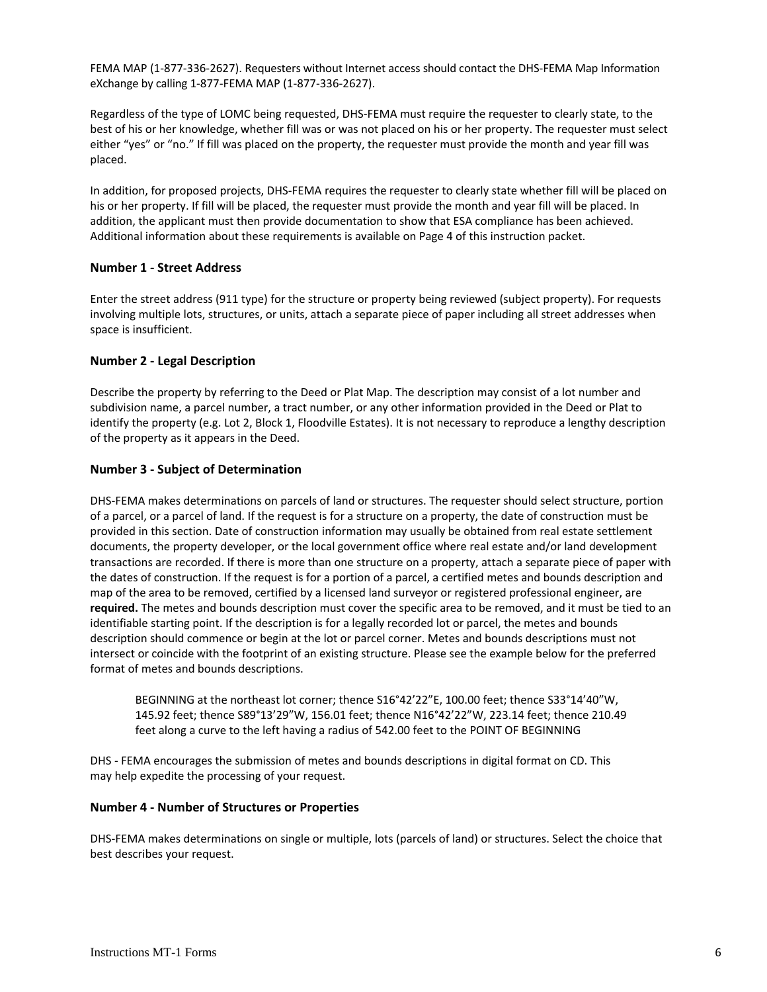FEMA MAP (1‐877‐336‐2627). Requesters without Internet access should contact the DHS‐FEMA Map Information eXchange by calling 1‐877‐FEMA MAP (1‐877‐336‐2627).

 Regardless of the type of LOMC being requested, DHS‐FEMA must require the requester to clearly state, to the best of his or her knowledge, whether fill was or was not placed on his or her property. The requester must select either "yes" or "no." If fill was placed on the property, the requester must provide the month and year fill was placed.

 In addition, for proposed projects, DHS‐FEMA requires the requester to clearly state whether fill will be placed on his or her property. If fill will be placed, the requester must provide the month and year fill will be placed. In addition, the applicant must then provide documentation to show that ESA compliance has been achieved. Additional information about these requirements is available on Page 4 of this instruction packet.

#### **Number 1 ‐ Street Address**

 Enter the street address (911 type) for the structure or property being reviewed (subject property). For requests involving multiple lots, structures, or units, attach a separate piece of paper including all street addresses when space is insufficient.

## **Number 2 ‐ Legal Description**

 Describe the property by referring to the Deed or Plat Map. The description may consist of a lot number and subdivision name, a parcel number, a tract number, or any other information provided in the Deed or Plat to identify the property (e.g. Lot 2, Block 1, Floodville Estates). It is not necessary to reproduce a lengthy description of the property as it appears in the Deed.

#### **Number 3 ‐ Subject of Determination**

 DHS‐FEMA makes determinations on parcels of land or structures. The requester should select structure, portion of a parcel, or a parcel of land. If the request is for a structure on a property, the date of construction must be provided in this section. Date of construction information may usually be obtained from real estate settlement documents, the property developer, or the local government office where real estate and/or land development transactions are recorded. If there is more than one structure on a property, attach a separate piece of paper with the dates of construction. If the request is for a portion of a parcel, a certified metes and bounds description and map of the area to be removed, certified by a licensed land surveyor or registered professional engineer, are **required.** The metes and bounds description must cover the specific area to be removed, and it must be tied to an identifiable starting point. If the description is for a legally recorded lot or parcel, the metes and bounds description should commence or begin at the lot or parcel corner. Metes and bounds descriptions must not intersect or coincide with the footprint of an existing structure. Please see the example below for the preferred format of metes and bounds descriptions.

 BEGINNING at the northeast lot corner; thence S16°42'22"E, 100.00 feet; thence S33°14'40"W, 145.92 feet; thence S89°13'29"W, 156.01 feet; thence N16°42'22"W, 223.14 feet; thence 210.49 feet along a curve to the left having a radius of 542.00 feet to the POINT OF BEGINNING

 DHS ‐ FEMA encourages the submission of metes and bounds descriptions in digital format on CD. This may help expedite the processing of your request.

## **Number 4 ‐ Number of Structures or Properties**

 DHS‐FEMA makes determinations on single or multiple, lots (parcels of land) or structures. Select the choice that best describes your request.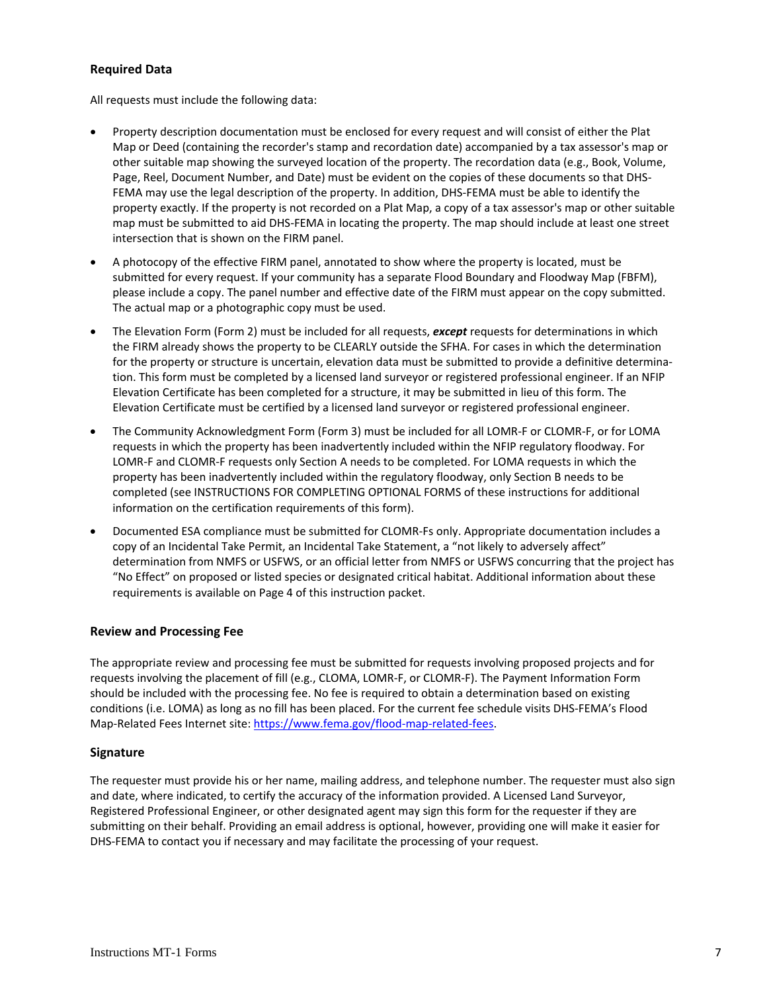## **Required Data**

All requests must include the following data:

- Property description documentation must be enclosed for every request and will consist of either the Plat Map or Deed (containing the recorder's stamp and recordation date) accompanied by a tax assessor's map or other suitable map showing the surveyed location of the property. The recordation data (e.g., Book, Volume, Page, Reel, Document Number, and Date) must be evident on the copies of these documents so that DHS‐ FEMA may use the legal description of the property. In addition, DHS‐FEMA must be able to identify the property exactly. If the property is not recorded on a Plat Map, a copy of a tax assessor's map or other suitable map must be submitted to aid DHS‐FEMA in locating the property. The map should include at least one street intersection that is shown on the FIRM panel.
- A photocopy of the effective FIRM panel, annotated to show where the property is located, must be submitted for every request. If your community has a separate Flood Boundary and Floodway Map (FBFM), please include a copy. The panel number and effective date of the FIRM must appear on the copy submitted. The actual map or a photographic copy must be used.
- The Elevation Form (Form 2) must be included for all requests, *except* requests for determinations in which the FIRM already shows the property to be CLEARLY outside the SFHA. For cases in which the determination for the property or structure is uncertain, elevation data must be submitted to provide a definitive determina‐ tion. This form must be completed by a licensed land surveyor or registered professional engineer. If an NFIP Elevation Certificate has been completed for a structure, it may be submitted in lieu of this form. The Elevation Certificate must be certified by a licensed land surveyor or registered professional engineer.
- The Community Acknowledgment Form (Form 3) must be included for all LOMR-F or CLOMR-F, or for LOMA requests in which the property has been inadvertently included within the NFIP regulatory floodway. For LOMR‐F and CLOMR‐F requests only Section A needs to be completed. For LOMA requests in which the property has been inadvertently included within the regulatory floodway, only Section B needs to be completed (see INSTRUCTIONS FOR COMPLETING OPTIONAL FORMS of these instructions for additional information on the certification requirements of this form).
- Documented ESA compliance must be submitted for CLOMR‐Fs only. Appropriate documentation includes a copy of an Incidental Take Permit, an Incidental Take Statement, a "not likely to adversely affect" determination from NMFS or USFWS, or an official letter from NMFS or USFWS concurring that the project has "No Effect" on proposed or listed species or designated critical habitat. Additional information about these requirements is available on Page 4 of this instruction packet.

#### **Review and Processing Fee**

 The appropriate review and processing fee must be submitted for requests involving proposed projects and for requests involving the placement of fill (e.g., CLOMA, LOMR‐F, or CLOMR‐F). The Payment Information Form should be included with the processing fee. No fee is required to obtain a determination based on existing conditions (i.e. LOMA) as long as no fill has been placed. For the current fee schedule visits DHS‐FEMA's Flood Map-Related Fees Internet site: https://www.fema.gov/flood-map-related-fees.

#### **Signature**

 The requester must provide his or her name, mailing address, and telephone number. The requester must also sign and date, where indicated, to certify the accuracy of the information provided. A Licensed Land Surveyor, Registered Professional Engineer, or other designated agent may sign this form for the requester if they are submitting on their behalf. Providing an email address is optional, however, providing one will make it easier for DHS‐FEMA to contact you if necessary and may facilitate the processing of your request.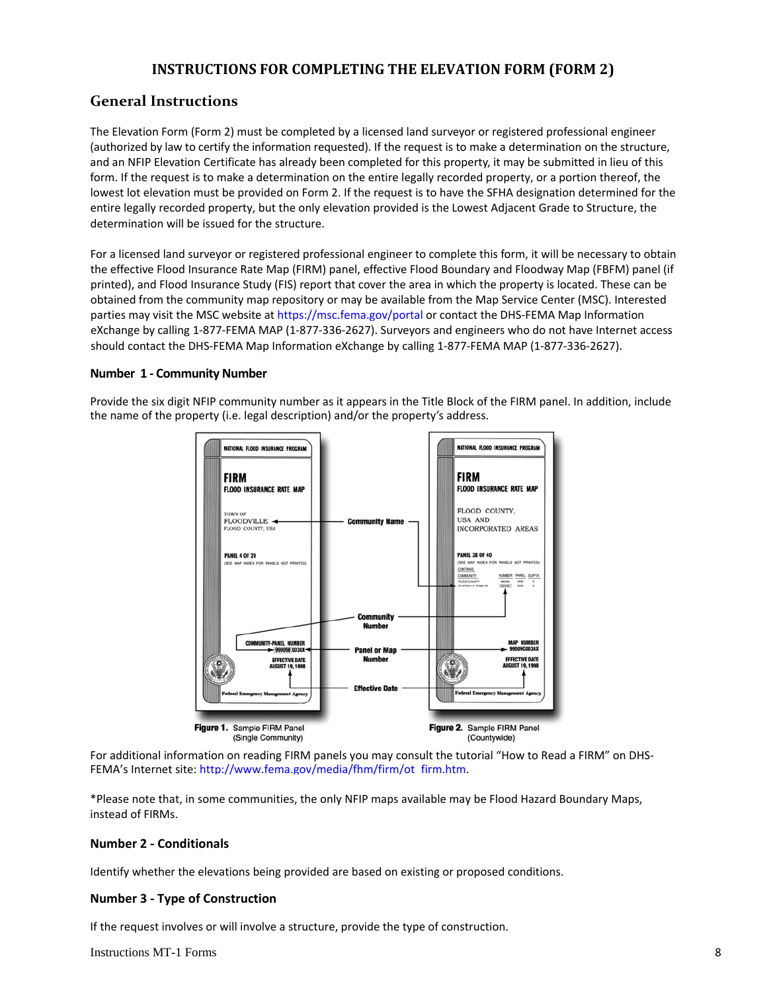## **INSTRUCTIONS FOR COMPLETING THE ELEVATION FORM (FORM 2)**

## **General Instructions**

 The Elevation Form (Form 2) must be completed by a licensed land surveyor or registered professional engineer (authorized by law to certify the information requested). If the request is to make a determination on the structure, and an NFIP Elevation Certificate has already been completed for this property, it may be submitted in lieu of this form. If the request is to make a determination on the entire legally recorded property, or a portion thereof, the lowest lot elevation must be provided on Form 2. If the request is to have the SFHA designation determined for the entire legally recorded property, but the only elevation provided is the Lowest Adjacent Grade to Structure, the determination will be issued for the structure.

 For a licensed land surveyor or registered professional engineer to complete this form, it will be necessary to obtain the effective Flood Insurance Rate Map (FIRM) panel, effective Flood Boundary and Floodway Map (FBFM) panel (if printed), and Flood Insurance Study (FIS) report that cover the area in which the property is located. These can be obtained from the community map repository or may be available from the Map Service Center (MSC). Interested parties may visit the MSC website at https://msc.fema.gov/portal or contact the DHS-FEMA Map Information eXchange by calling 1‐877‐FEMA MAP (1‐877‐336‐2627). Surveyors and engineers who do not have Internet access should contact the DHS‐FEMA Map Information eXchange by calling 1‐877‐FEMA MAP (1‐877‐336‐2627).

## **Number 1 ‐ Community Number**

 Provide the six digit NFIP community number as it appears in the Title Block of the FIRM panel. In addition, include the name of the property (i.e. legal description) and/or the property's address.



 For additional information on reading FIRM panels you may consult the tutorial "How to Read a FIRM" on DHS‐ FEMA's Internet site: http://www.fema.gov/media/fhm/firm/ot\_firm.htm.

 \*Please note that, in some communities, the only NFIP maps available may be Flood Hazard Boundary Maps, instead of FIRMs.

#### **Number 2 ‐ Conditionals**

Identify whether the elevations being provided are based on existing or proposed conditions.

#### **Number 3 ‐ Type of Construction**

If the request involves or will involve a structure, provide the type of construction.

Instructions MT-1 Forms 8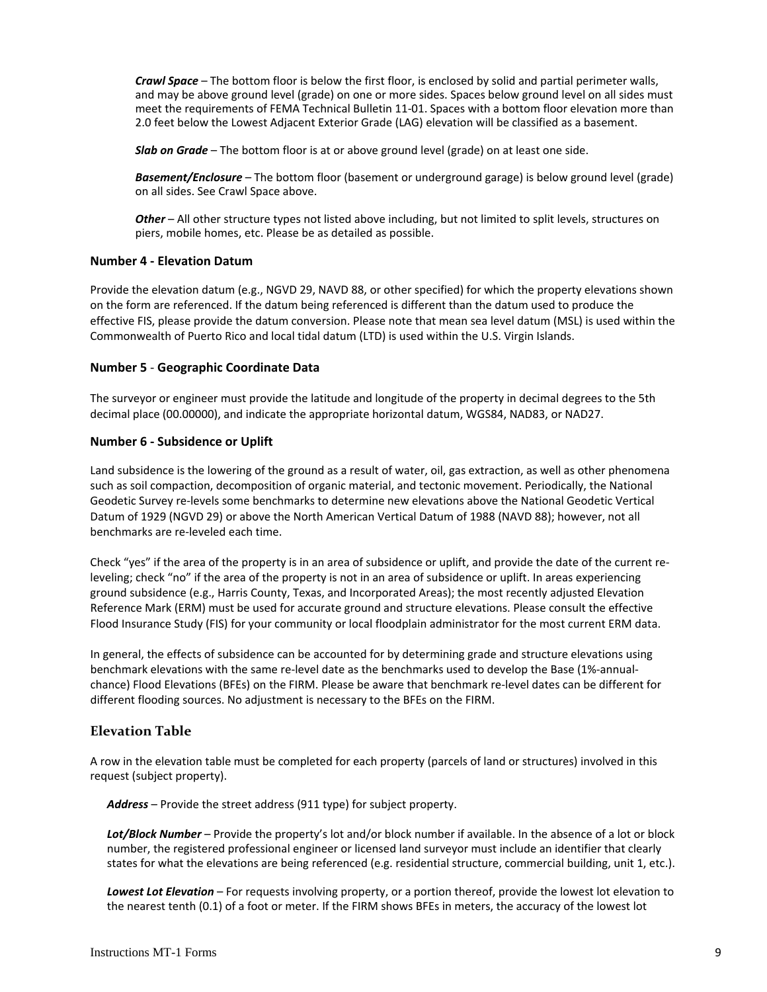*Crawl Space* – The bottom floor is below the first floor, is enclosed by solid and partial perimeter walls, and may be above ground level (grade) on one or more sides. Spaces below ground level on all sides must meet the requirements of FEMA Technical Bulletin 11‐01. Spaces with a bottom floor elevation more than 2.0 feet below the Lowest Adjacent Exterior Grade (LAG) elevation will be classified as a basement.

 *Slab on Grade* – The bottom floor is at or above ground level (grade) on at least one side.

 *Basement/Enclosure* – The bottom floor (basement or underground garage) is below ground level (grade) on all sides. See Crawl Space above.

 *Other* – All other structure types not listed above including, but not limited to split levels, structures on piers, mobile homes, etc. Please be as detailed as possible.

## **Number 4 ‐ Elevation Datum**

 Provide the elevation datum (e.g., NGVD 29, NAVD 88, or other specified) for which the property elevations shown on the form are referenced. If the datum being referenced is different than the datum used to produce the effective FIS, please provide the datum conversion. Please note that mean sea level datum (MSL) is used within the Commonwealth of Puerto Rico and local tidal datum (LTD) is used within the U.S. Virgin Islands.

## **Number 5** ‐ **Geographic Coordinate Data**

 The surveyor or engineer must provide the latitude and longitude of the property in decimal degrees to the 5th decimal place (00.00000), and indicate the appropriate horizontal datum, WGS84, NAD83, or NAD27.

## **Number 6 ‐ Subsidence or Uplift**

 Land subsidence is the lowering of the ground as a result of water, oil, gas extraction, as well as other phenomena such as soil compaction, decomposition of organic material, and tectonic movement. Periodically, the National Geodetic Survey re‐levels some benchmarks to determine new elevations above the National Geodetic Vertical Datum of 1929 (NGVD 29) or above the North American Vertical Datum of 1988 (NAVD 88); however, not all benchmarks are re‐leveled each time.

 Check "yes" if the area of the property is in an area of subsidence or uplift, and provide the date of the current re‐ leveling; check "no" if the area of the property is not in an area of subsidence or uplift. In areas experiencing ground subsidence (e.g., Harris County, Texas, and Incorporated Areas); the most recently adjusted Elevation Reference Mark (ERM) must be used for accurate ground and structure elevations. Please consult the effective Flood Insurance Study (FIS) for your community or local floodplain administrator for the most current ERM data.

 In general, the effects of subsidence can be accounted for by determining grade and structure elevations using benchmark elevations with the same re‐level date as the benchmarks used to develop the Base (1%‐annual‐ chance) Flood Elevations (BFEs) on the FIRM. Please be aware that benchmark re‐level dates can be different for different flooding sources. No adjustment is necessary to the BFEs on the FIRM.

## **Elevation Table**

 A row in the elevation table must be completed for each property (parcels of land or structures) involved in this request (subject property).

*Address* – Provide the street address (911 type) for subject property.

 *Lot/Block Number* – Provide the property's lot and/or block number if available. In the absence of a lot or block number, the registered professional engineer or licensed land surveyor must include an identifier that clearly states for what the elevations are being referenced (e.g. residential structure, commercial building, unit 1, etc.).

 *Lowest Lot Elevation* – For requests involving property, or a portion thereof, provide the lowest lot elevation to the nearest tenth (0.1) of a foot or meter. If the FIRM shows BFEs in meters, the accuracy of the lowest lot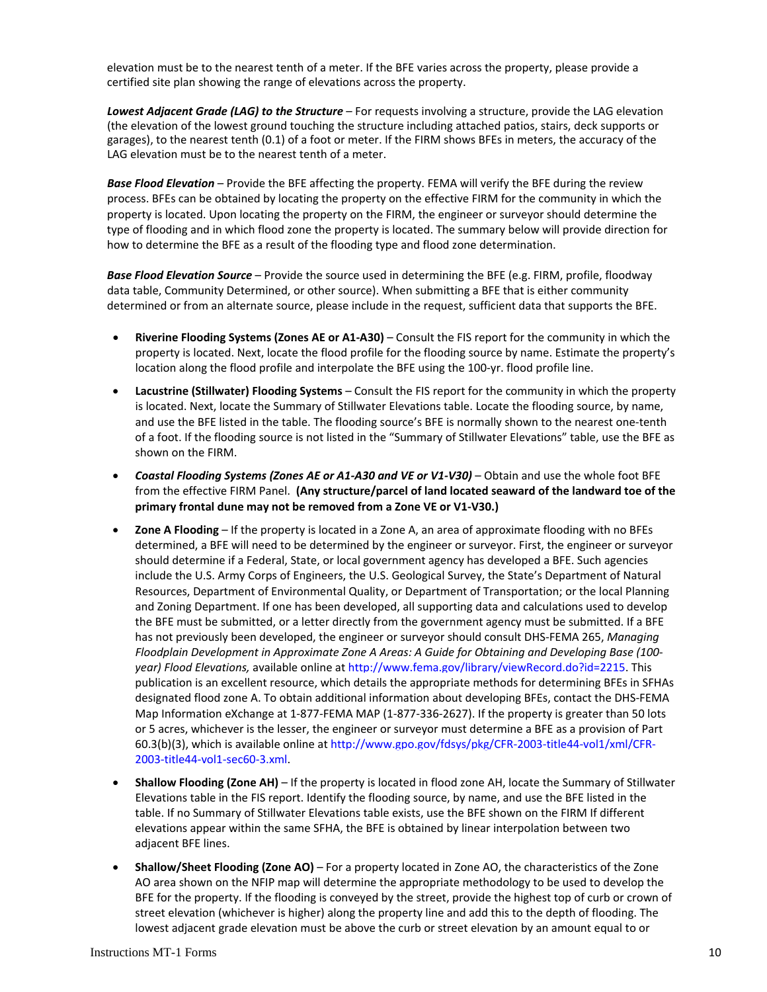elevation must be to the nearest tenth of a meter. If the BFE varies across the property, please provide a certified site plan showing the range of elevations across the property.

 *Lowest Adjacent Grade (LAG) to the Structure* – For requests involving a structure, provide the LAG elevation (the elevation of the lowest ground touching the structure including attached patios, stairs, deck supports or garages), to the nearest tenth (0.1) of a foot or meter. If the FIRM shows BFEs in meters, the accuracy of the LAG elevation must be to the nearest tenth of a meter.

 *Base Flood Elevation* – Provide the BFE affecting the property. FEMA will verify the BFE during the review process. BFEs can be obtained by locating the property on the effective FIRM for the community in which the property is located. Upon locating the property on the FIRM, the engineer or surveyor should determine the type of flooding and in which flood zone the property is located. The summary below will provide direction for how to determine the BFE as a result of the flooding type and flood zone determination.

 *Base Flood Elevation Source* – Provide the source used in determining the BFE (e.g. FIRM, profile, floodway data table, Community Determined, or other source). When submitting a BFE that is either community determined or from an alternate source, please include in the request, sufficient data that supports the BFE.

- **Riverine Flooding Systems (Zones AE or A1‐A30)** Consult the FIS report for the community in which the property is located. Next, locate the flood profile for the flooding source by name. Estimate the property's location along the flood profile and interpolate the BFE using the 100‐yr. flood profile line.
- **Lacustrine (Stillwater) Flooding Systems** Consult the FIS report for the community in which the property is located. Next, locate the Summary of Stillwater Elevations table. Locate the flooding source, by name, and use the BFE listed in the table. The flooding source's BFE is normally shown to the nearest one‐tenth of a foot. If the flooding source is not listed in the "Summary of Stillwater Elevations" table, use the BFE as shown on the FIRM.
- Coastal Flooding Systems (Zones AE or A1-A30 and VE or V1-V30) Obtain and use the whole foot BFE  from the effective FIRM Panel. **(Any structure/parcel of land located seaward of the landward toe of the primary frontal dune may not be removed from a Zone VE or V1‐V30.)**
- **Zone A Flooding** If the property is located in a Zone A, an area of approximate flooding with no BFEs determined, a BFE will need to be determined by the engineer or surveyor. First, the engineer or surveyor should determine if a Federal, State, or local government agency has developed a BFE. Such agencies include the U.S. Army Corps of Engineers, the U.S. Geological Survey, the State's Department of Natural Resources, Department of Environmental Quality, or Department of Transportation; or the local Planning and Zoning Department. If one has been developed, all supporting data and calculations used to develop the BFE must be submitted, or a letter directly from the government agency must be submitted. If a BFE has not previously been developed, the engineer or surveyor should consult DHS‐FEMA 265, *Managing* Floodplain Development in Approximate Zone A Areas: A Guide for Obtaining and Developing Base (100- *year) Flood Elevations,* available online at http://www.fema.gov/library/viewRecord.do?id=2215. This publication is an excellent resource, which details the appropriate methods for determining BFEs in SFHAs designated flood zone A. To obtain additional information about developing BFEs, contact the DHS‐FEMA Map Information eXchange at 1‐877‐FEMA MAP (1‐877‐336‐2627). If the property is greater than 50 lots or 5 acres, whichever is the lesser, the engineer or surveyor must determine a BFE as a provision of Part 60.3(b)(3), which is available online at http://www.gpo.gov/fdsys/pkg/CFR‐2003‐title44‐vol1/xml/CFR‐ 2003‐title44‐vol1‐sec60‐3.xml.
- **Shallow Flooding (Zone AH)** If the property is located in flood zone AH, locate the Summary of Stillwater Elevations table in the FIS report. Identify the flooding source, by name, and use the BFE listed in the table. If no Summary of Stillwater Elevations table exists, use the BFE shown on the FIRM If different elevations appear within the same SFHA, the BFE is obtained by linear interpolation between two adjacent BFE lines.
- **Shallow/Sheet Flooding (Zone AO)** For a property located in Zone AO, the characteristics of the Zone AO area shown on the NFIP map will determine the appropriate methodology to be used to develop the BFE for the property. If the flooding is conveyed by the street, provide the highest top of curb or crown of street elevation (whichever is higher) along the property line and add this to the depth of flooding. The lowest adjacent grade elevation must be above the curb or street elevation by an amount equal to or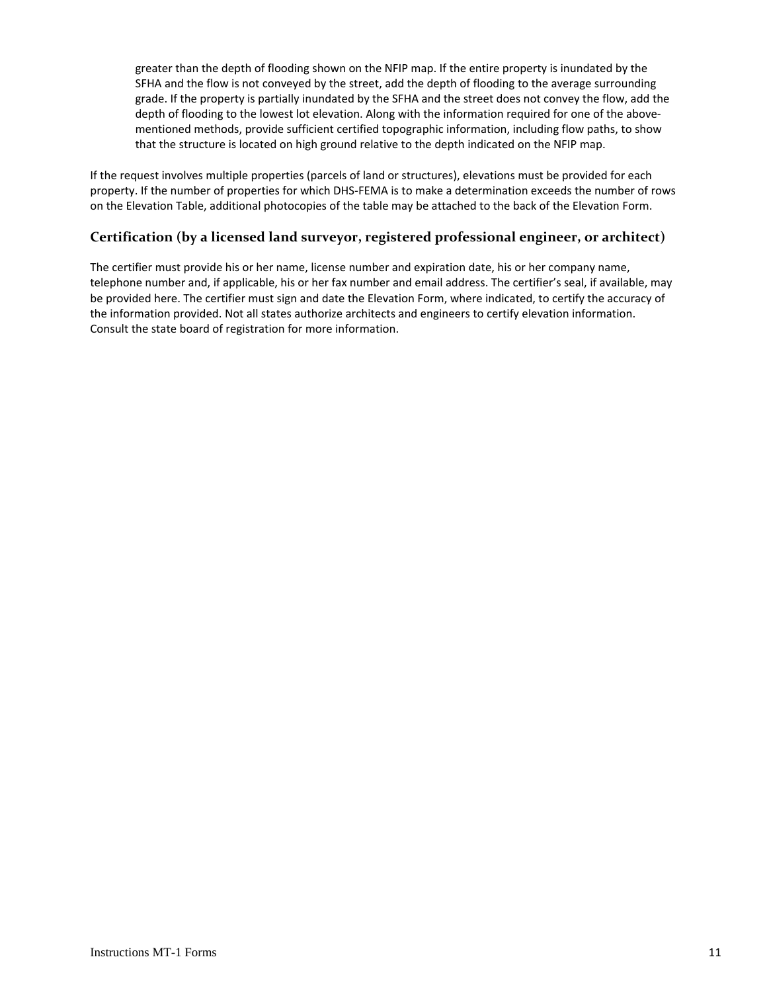greater than the depth of flooding shown on the NFIP map. If the entire property is inundated by the SFHA and the flow is not conveyed by the street, add the depth of flooding to the average surrounding grade. If the property is partially inundated by the SFHA and the street does not convey the flow, add the depth of flooding to the lowest lot elevation. Along with the information required for one of the above‐ mentioned methods, provide sufficient certified topographic information, including flow paths, to show that the structure is located on high ground relative to the depth indicated on the NFIP map.

 If the request involves multiple properties (parcels of land or structures), elevations must be provided for each property. If the number of properties for which DHS‐FEMA is to make a determination exceeds the number of rows on the Elevation Table, additional photocopies of the table may be attached to the back of the Elevation Form.

## **Certification (by a licensed land surveyor, registered professional engineer, or architect)**

 The certifier must provide his or her name, license number and expiration date, his or her company name, telephone number and, if applicable, his or her fax number and email address. The certifier's seal, if available, may be provided here. The certifier must sign and date the Elevation Form, where indicated, to certify the accuracy of the information provided. Not all states authorize architects and engineers to certify elevation information. Consult the state board of registration for more information.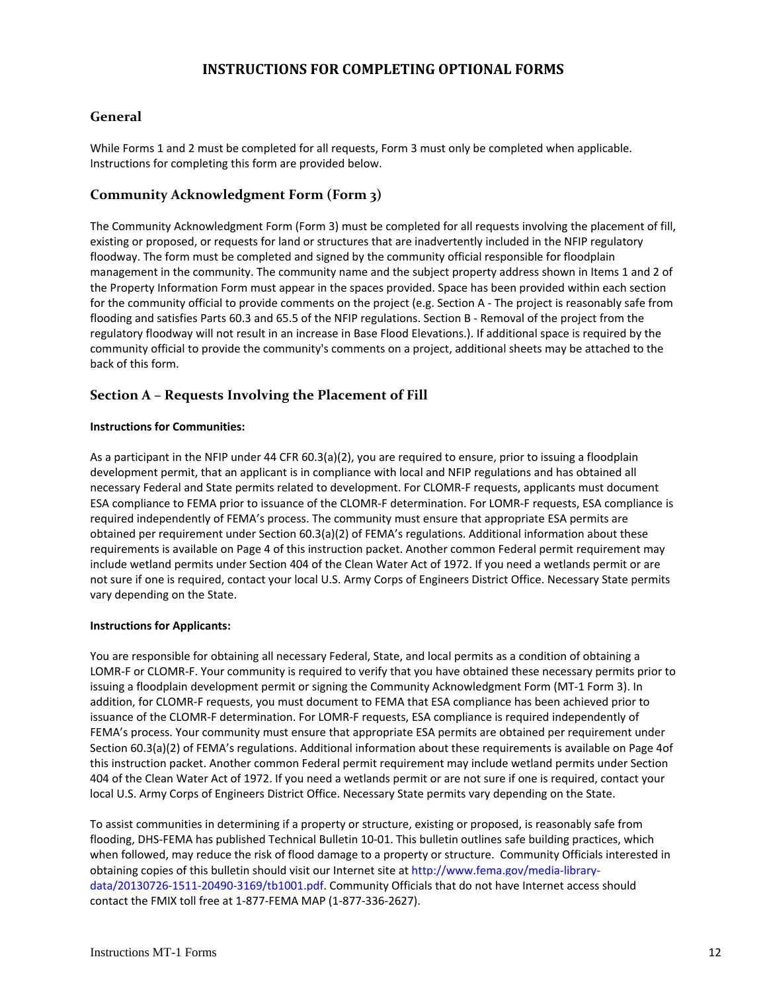## **INSTRUCTIONS FOR COMPLETING OPTIONAL FORMS**

## **General**

 While Forms 1 and 2 must be completed for all requests, Form 3 must only be completed when applicable. Instructions for completing this form are provided below.

## **Community Acknowledgment Form (Form 3)**

 The Community Acknowledgment Form (Form 3) must be completed for all requests involving the placement of fill, existing or proposed, or requests for land or structures that are inadvertently included in the NFIP regulatory floodway. The form must be completed and signed by the community official responsible for floodplain management in the community. The community name and the subject property address shown in Items 1 and 2 of the Property Information Form must appear in the spaces provided. Space has been provided within each section for the community official to provide comments on the project (e.g. Section A ‐ The project is reasonably safe from flooding and satisfies Parts 60.3 and 65.5 of the NFIP regulations. Section B ‐ Removal of the project from the regulatory floodway will not result in an increase in Base Flood Elevations.). If additional space is required by the community official to provide the community's comments on a project, additional sheets may be attached to the back of this form.

## **Section A – Requests Involving the Placement of Fill**

#### **Instructions for Communities:**

 As a participant in the NFIP under 44 CFR 60.3(a)(2), you are required to ensure, prior to issuing a floodplain development permit, that an applicant is in compliance with local and NFIP regulations and has obtained all necessary Federal and State permits related to development. For CLOMR‐F requests, applicants must document ESA compliance to FEMA prior to issuance of the CLOMR‐F determination. For LOMR‐F requests, ESA compliance is required independently of FEMA's process. The community must ensure that appropriate ESA permits are obtained per requirement under Section 60.3(a)(2) of FEMA's regulations. Additional information about these requirements is available on Page 4 of this instruction packet. Another common Federal permit requirement may include wetland permits under Section 404 of the Clean Water Act of 1972. If you need a wetlands permit or are not sure if one is required, contact your local U.S. Army Corps of Engineers District Office. Necessary State permits vary depending on the State.

#### **Instructions for Applicants:**

 You are responsible for obtaining all necessary Federal, State, and local permits as a condition of obtaining a LOMR‐F or CLOMR‐F. Your community is required to verify that you have obtained these necessary permits prior to issuing a floodplain development permit or signing the Community Acknowledgment Form (MT‐1 Form 3). In addition, for CLOMR‐F requests, you must document to FEMA that ESA compliance has been achieved prior to issuance of the CLOMR‐F determination. For LOMR‐F requests, ESA compliance is required independently of FEMA's process. Your community must ensure that appropriate ESA permits are obtained per requirement under Section 60.3(a)(2) of FEMA's regulations. Additional information about these requirements is available on Page 4of this instruction packet. Another common Federal permit requirement may include wetland permits under Section 404 of the Clean Water Act of 1972. If you need a wetlands permit or are not sure if one is required, contact your local U.S. Army Corps of Engineers District Office. Necessary State permits vary depending on the State.

 To assist communities in determining if a property or structure, existing or proposed, is reasonably safe from flooding, DHS‐FEMA has published Technical Bulletin 10‐01. This bulletin outlines safe building practices, which when followed, may reduce the risk of flood damage to a property or structure. Community Officials interested in obtaining copies of this bulletin should visit our Internet site at http://www.fema.gov/media‐library‐ data/20130726‐1511‐20490‐3169/tb1001.pdf. Community Officials that do not have Internet access should contact the FMIX toll free at 1‐877‐FEMA MAP (1‐877‐336‐2627).